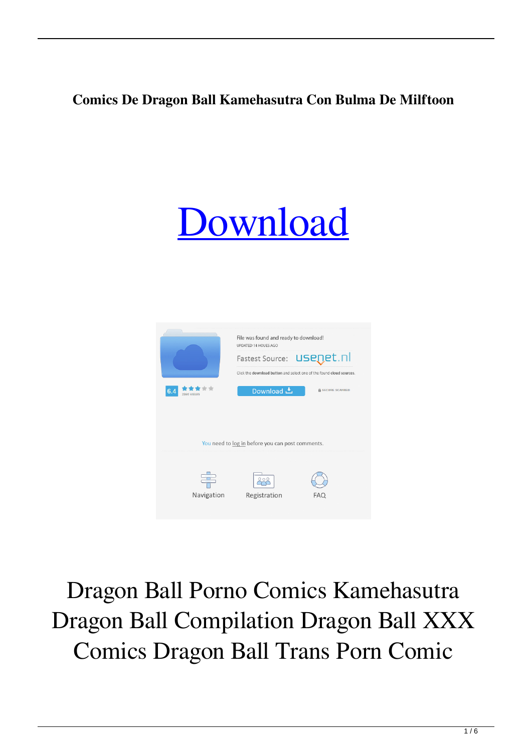## **Comics De Dragon Ball Kamehasutra Con Bulma De Milftoon**





Dragon Ball Porno Comics Kamehasutra Dragon Ball Compilation Dragon Ball XXX Comics Dragon Ball Trans Porn Comic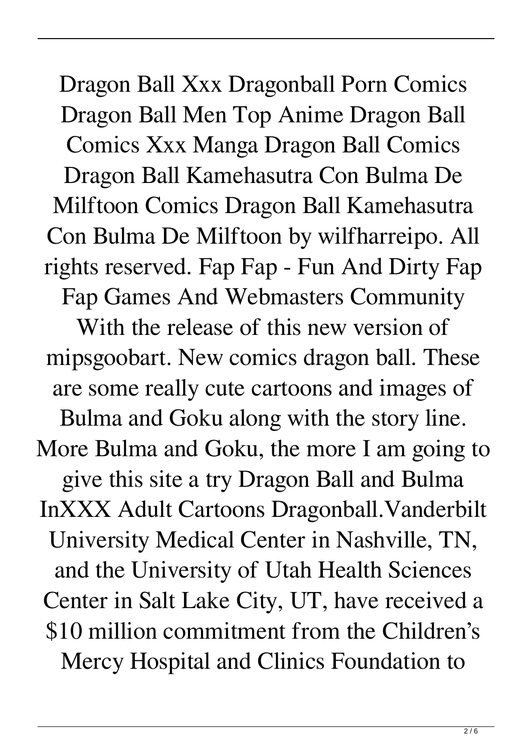Dragon Ball Xxx Dragonball Porn Comics Dragon Ball Men Top Anime Dragon Ball Comics Xxx Manga Dragon Ball Comics Dragon Ball Kamehasutra Con Bulma De Milftoon Comics Dragon Ball Kamehasutra Con Bulma De Milftoon by wilfharreipo. All rights reserved. Fap Fap - Fun And Dirty Fap Fap Games And Webmasters Community With the release of this new version of mipsgoobart. New comics dragon ball. These are some really cute cartoons and images of Bulma and Goku along with the story line. More Bulma and Goku, the more I am going to give this site a try Dragon Ball and Bulma InXXX Adult Cartoons Dragonball.Vanderbilt University Medical Center in Nashville, TN, and the University of Utah Health Sciences Center in Salt Lake City, UT, have received a \$10 million commitment from the Children's Mercy Hospital and Clinics Foundation to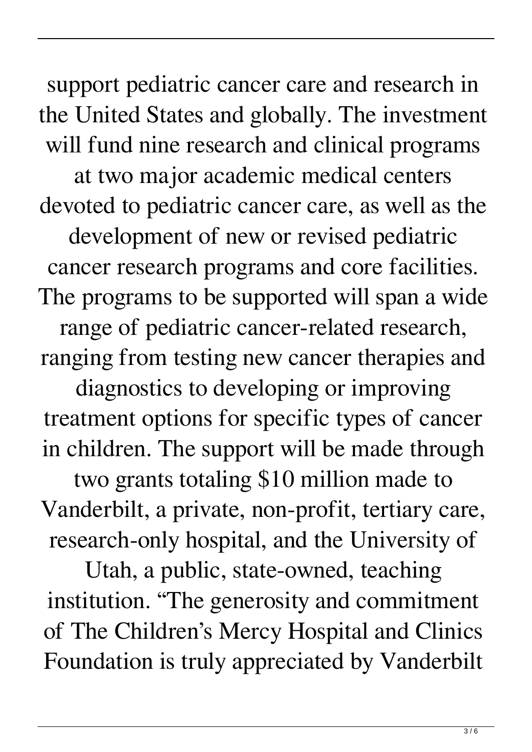support pediatric cancer care and research in the United States and globally. The investment will fund nine research and clinical programs at two major academic medical centers devoted to pediatric cancer care, as well as the development of new or revised pediatric cancer research programs and core facilities. The programs to be supported will span a wide range of pediatric cancer-related research, ranging from testing new cancer therapies and

diagnostics to developing or improving treatment options for specific types of cancer in children. The support will be made through

two grants totaling \$10 million made to Vanderbilt, a private, non-profit, tertiary care, research-only hospital, and the University of

Utah, a public, state-owned, teaching institution. "The generosity and commitment of The Children's Mercy Hospital and Clinics Foundation is truly appreciated by Vanderbilt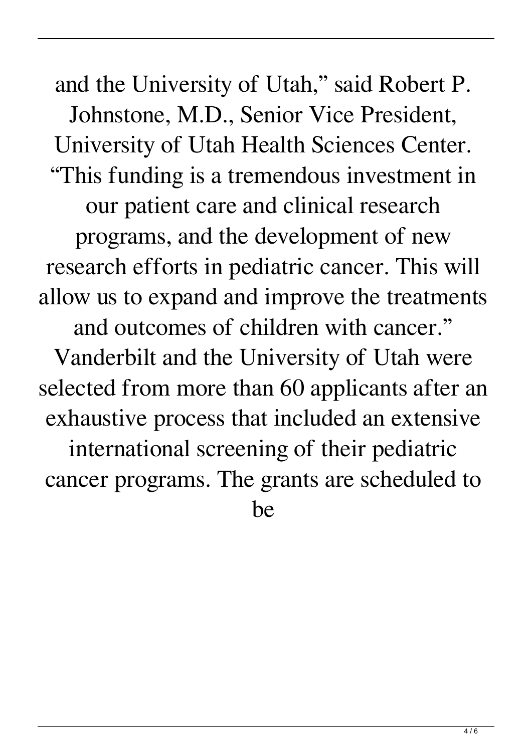and the University of Utah," said Robert P. Johnstone, M.D., Senior Vice President, University of Utah Health Sciences Center. "This funding is a tremendous investment in our patient care and clinical research programs, and the development of new research efforts in pediatric cancer. This will allow us to expand and improve the treatments and outcomes of children with cancer." Vanderbilt and the University of Utah were selected from more than 60 applicants after an exhaustive process that included an extensive international screening of their pediatric cancer programs. The grants are scheduled to be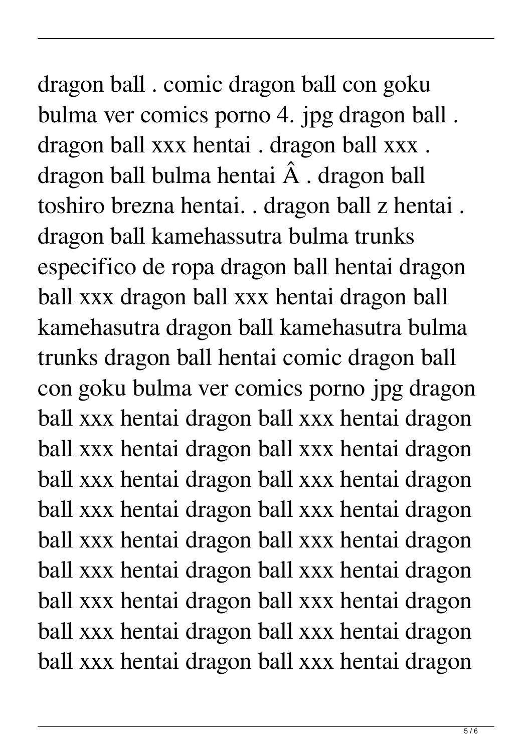dragon ball . comic dragon ball con goku bulma ver comics porno 4. jpg dragon ball . dragon ball xxx hentai . dragon ball xxx . dragon ball bulma hentai  $\hat{A}$ . dragon ball toshiro brezna hentai. . dragon ball z hentai . dragon ball kamehassutra bulma trunks especifico de ropa dragon ball hentai dragon ball xxx dragon ball xxx hentai dragon ball kamehasutra dragon ball kamehasutra bulma trunks dragon ball hentai comic dragon ball con goku bulma ver comics porno jpg dragon ball xxx hentai dragon ball xxx hentai dragon ball xxx hentai dragon ball xxx hentai dragon ball xxx hentai dragon ball xxx hentai dragon ball xxx hentai dragon ball xxx hentai dragon ball xxx hentai dragon ball xxx hentai dragon ball xxx hentai dragon ball xxx hentai dragon ball xxx hentai dragon ball xxx hentai dragon ball xxx hentai dragon ball xxx hentai dragon ball xxx hentai dragon ball xxx hentai dragon